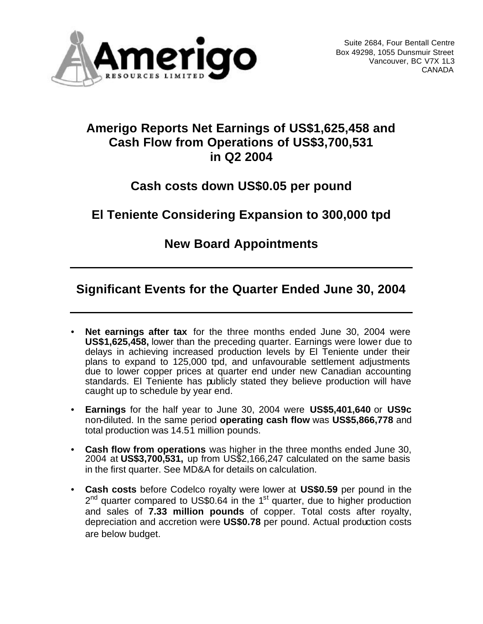

### **Amerigo Reports Net Earnings of US\$1,625,458 and Cash Flow from Operations of US\$3,700,531 in Q2 2004**

# **Cash costs down US\$0.05 per pound**

# **El Teniente Considering Expansion to 300,000 tpd**

### **New Board Appointments**

### **Significant Events for the Quarter Ended June 30, 2004**

- **Net earnings after tax** for the three months ended June 30, 2004 were **US\$1,625,458,** lower than the preceding quarter. Earnings were lower due to delays in achieving increased production levels by El Teniente under their plans to expand to 125,000 tpd, and unfavourable settlement adjustments due to lower copper prices at quarter end under new Canadian accounting standards. El Teniente has publicly stated they believe production will have caught up to schedule by year end.
- **Earnings** for the half year to June 30, 2004 were **US\$5,401,640** or **US9c** non-diluted. In the same period **operating cash flow** was **US\$5,866,778** and total production was 14.51 million pounds.
- **Cash flow from operations** was higher in the three months ended June 30, 2004 at **US\$3,700,531,** up from US\$2,166,247 calculated on the same basis in the first quarter. See MD&A for details on calculation.
- **Cash costs** before Codelco royalty were lower at **US\$0.59** per pound in the 2<sup>nd</sup> quarter compared to US\$0.64 in the 1<sup>st</sup> quarter, due to higher production and sales of **7.33 million pounds** of copper. Total costs after royalty, depreciation and accretion were **US\$0.78** per pound. Actual production costs are below budget.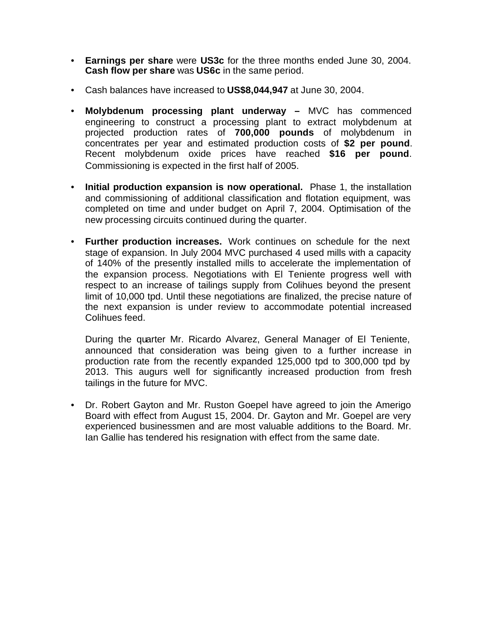- **Earnings per share** were **US3c** for the three months ended June 30, 2004. **Cash flow per share** was **US6c** in the same period.
- Cash balances have increased to **US\$8,044,947** at June 30, 2004.
- **Molybdenum processing plant underway –** MVC has commenced engineering to construct a processing plant to extract molybdenum at projected production rates of **700,000 pounds** of molybdenum in concentrates per year and estimated production costs of **\$2 per pound**. Recent molybdenum oxide prices have reached **\$16 per pound**. Commissioning is expected in the first half of 2005.
- **Initial production expansion is now operational.** Phase 1, the installation and commissioning of additional classification and flotation equipment, was completed on time and under budget on April 7, 2004. Optimisation of the new processing circuits continued during the quarter.
- **Further production increases.** Work continues on schedule for the next stage of expansion. In July 2004 MVC purchased 4 used mills with a capacity of 140% of the presently installed mills to accelerate the implementation of the expansion process. Negotiations with El Teniente progress well with respect to an increase of tailings supply from Colihues beyond the present limit of 10,000 tpd. Until these negotiations are finalized, the precise nature of the next expansion is under review to accommodate potential increased Colihues feed.

During the quarter Mr. Ricardo Alvarez, General Manager of El Teniente, announced that consideration was being given to a further increase in production rate from the recently expanded 125,000 tpd to 300,000 tpd by 2013. This augurs well for significantly increased production from fresh tailings in the future for MVC.

• Dr. Robert Gayton and Mr. Ruston Goepel have agreed to join the Amerigo Board with effect from August 15, 2004. Dr. Gayton and Mr. Goepel are very experienced businessmen and are most valuable additions to the Board. Mr. Ian Gallie has tendered his resignation with effect from the same date.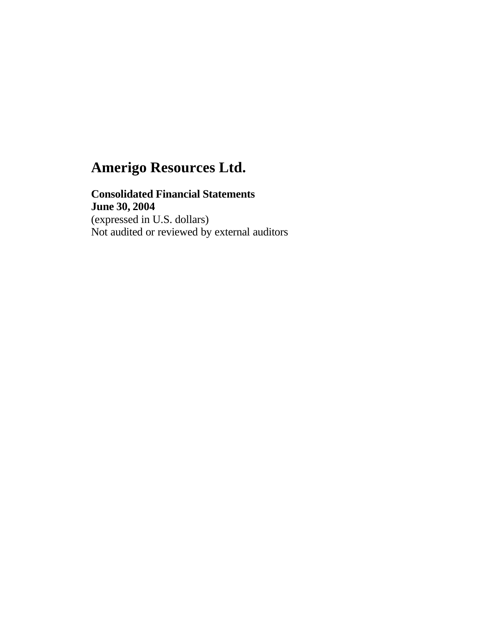### **Consolidated Financial Statements**

**June 30, 2004** (expressed in U.S. dollars) Not audited or reviewed by external auditors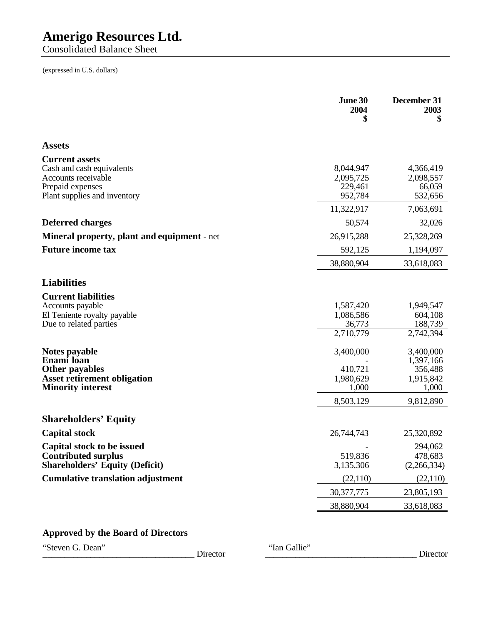Consolidated Balance Sheet

(expressed in U.S. dollars)

| <b>Assets</b><br><b>Current assets</b><br>Cash and cash equivalents<br>8,044,947<br>4,366,419<br>2,095,725<br>2,098,557<br>Accounts receivable<br>Prepaid expenses<br>229,461<br>66,059<br>Plant supplies and inventory<br>952,784<br>532,656<br>11,322,917<br>7,063,691<br><b>Deferred charges</b><br>50,574<br>32,026<br><b>Mineral property, plant and equipment</b> - net<br>26,915,288<br>25,328,269<br><b>Future income tax</b><br>592,125<br>1,194,097<br>38,880,904<br>33,618,083<br><b>Liabilities</b><br><b>Current liabilities</b><br>Accounts payable<br>1,587,420<br>1,949,547<br>1,086,586<br>604,108<br>El Teniente royalty payable<br>188,739<br>Due to related parties<br>36,773<br>2,710,779<br>2,742,394<br>Notes payable<br>3,400,000<br>3,400,000<br>Enami loan<br>1,397,166<br><b>Other payables</b><br>410,721<br>356,488<br><b>Asset retirement obligation</b><br>1,980,629<br>1,915,842<br><b>Minority interest</b><br>1,000<br>1,000<br>8,503,129<br>9,812,890<br><b>Shareholders' Equity</b><br><b>Capital stock</b><br>26,744,743<br>25,320,892<br>Capital stock to be issued<br>294,062<br><b>Contributed surplus</b><br>519,836<br>478,683<br><b>Shareholders' Equity (Deficit)</b><br>3,135,306<br>(2,266,334)<br><b>Cumulative translation adjustment</b><br>(22,110)<br>(22, 110)<br>30, 377, 775<br>23,805,193<br>38,880,904<br>33,618,083 | June 30<br>2004<br>S | December 31<br>2003<br>\$ |
|------------------------------------------------------------------------------------------------------------------------------------------------------------------------------------------------------------------------------------------------------------------------------------------------------------------------------------------------------------------------------------------------------------------------------------------------------------------------------------------------------------------------------------------------------------------------------------------------------------------------------------------------------------------------------------------------------------------------------------------------------------------------------------------------------------------------------------------------------------------------------------------------------------------------------------------------------------------------------------------------------------------------------------------------------------------------------------------------------------------------------------------------------------------------------------------------------------------------------------------------------------------------------------------------------------------------------------------------------------------------------|----------------------|---------------------------|
|                                                                                                                                                                                                                                                                                                                                                                                                                                                                                                                                                                                                                                                                                                                                                                                                                                                                                                                                                                                                                                                                                                                                                                                                                                                                                                                                                                              |                      |                           |
|                                                                                                                                                                                                                                                                                                                                                                                                                                                                                                                                                                                                                                                                                                                                                                                                                                                                                                                                                                                                                                                                                                                                                                                                                                                                                                                                                                              |                      |                           |
|                                                                                                                                                                                                                                                                                                                                                                                                                                                                                                                                                                                                                                                                                                                                                                                                                                                                                                                                                                                                                                                                                                                                                                                                                                                                                                                                                                              |                      |                           |
|                                                                                                                                                                                                                                                                                                                                                                                                                                                                                                                                                                                                                                                                                                                                                                                                                                                                                                                                                                                                                                                                                                                                                                                                                                                                                                                                                                              |                      |                           |
|                                                                                                                                                                                                                                                                                                                                                                                                                                                                                                                                                                                                                                                                                                                                                                                                                                                                                                                                                                                                                                                                                                                                                                                                                                                                                                                                                                              |                      |                           |
|                                                                                                                                                                                                                                                                                                                                                                                                                                                                                                                                                                                                                                                                                                                                                                                                                                                                                                                                                                                                                                                                                                                                                                                                                                                                                                                                                                              |                      |                           |
|                                                                                                                                                                                                                                                                                                                                                                                                                                                                                                                                                                                                                                                                                                                                                                                                                                                                                                                                                                                                                                                                                                                                                                                                                                                                                                                                                                              |                      |                           |
|                                                                                                                                                                                                                                                                                                                                                                                                                                                                                                                                                                                                                                                                                                                                                                                                                                                                                                                                                                                                                                                                                                                                                                                                                                                                                                                                                                              |                      |                           |
|                                                                                                                                                                                                                                                                                                                                                                                                                                                                                                                                                                                                                                                                                                                                                                                                                                                                                                                                                                                                                                                                                                                                                                                                                                                                                                                                                                              |                      |                           |
|                                                                                                                                                                                                                                                                                                                                                                                                                                                                                                                                                                                                                                                                                                                                                                                                                                                                                                                                                                                                                                                                                                                                                                                                                                                                                                                                                                              |                      |                           |
|                                                                                                                                                                                                                                                                                                                                                                                                                                                                                                                                                                                                                                                                                                                                                                                                                                                                                                                                                                                                                                                                                                                                                                                                                                                                                                                                                                              |                      |                           |
|                                                                                                                                                                                                                                                                                                                                                                                                                                                                                                                                                                                                                                                                                                                                                                                                                                                                                                                                                                                                                                                                                                                                                                                                                                                                                                                                                                              |                      |                           |
|                                                                                                                                                                                                                                                                                                                                                                                                                                                                                                                                                                                                                                                                                                                                                                                                                                                                                                                                                                                                                                                                                                                                                                                                                                                                                                                                                                              |                      |                           |
|                                                                                                                                                                                                                                                                                                                                                                                                                                                                                                                                                                                                                                                                                                                                                                                                                                                                                                                                                                                                                                                                                                                                                                                                                                                                                                                                                                              |                      |                           |
|                                                                                                                                                                                                                                                                                                                                                                                                                                                                                                                                                                                                                                                                                                                                                                                                                                                                                                                                                                                                                                                                                                                                                                                                                                                                                                                                                                              |                      |                           |

#### **Approved by the Board of Directors**

"Steven G. Dean" Director "Ian Gallie"

\_\_\_\_\_\_\_\_\_\_\_\_\_\_\_\_\_\_\_\_\_\_\_\_\_\_\_\_\_\_\_\_\_\_\_ Director \_\_\_\_\_\_\_\_\_\_\_\_\_\_\_\_\_\_\_\_\_\_\_\_\_\_\_\_\_\_\_\_\_\_\_ Director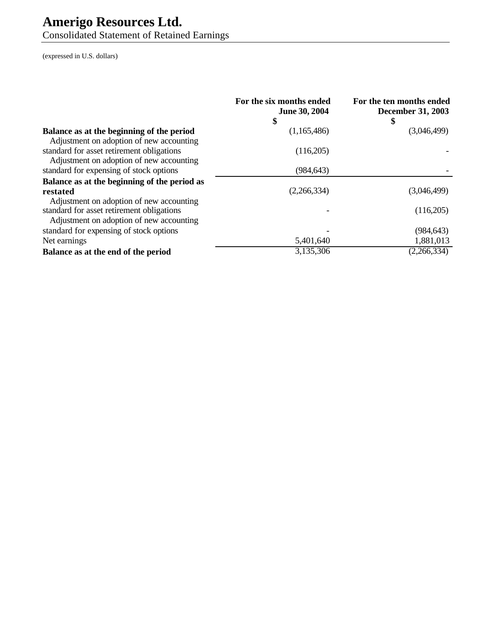Consolidated Statement of Retained Earnings

|                                                                                       | For the six months ended<br><b>June 30, 2004</b><br>\$ | For the ten months ended<br><b>December 31, 2003</b><br>\$ |
|---------------------------------------------------------------------------------------|--------------------------------------------------------|------------------------------------------------------------|
| Balance as at the beginning of the period<br>Adjustment on adoption of new accounting | (1,165,486)                                            | (3,046,499)                                                |
| standard for asset retirement obligations<br>Adjustment on adoption of new accounting | (116,205)                                              |                                                            |
| standard for expensing of stock options                                               | (984, 643)                                             |                                                            |
| Balance as at the beginning of the period as                                          |                                                        |                                                            |
| restated<br>Adjustment on adoption of new accounting                                  | (2,266,334)                                            | (3,046,499)                                                |
| standard for asset retirement obligations<br>Adjustment on adoption of new accounting |                                                        | (116,205)                                                  |
| standard for expensing of stock options                                               |                                                        | (984, 643)                                                 |
| Net earnings                                                                          | 5,401,640                                              | 1,881,013                                                  |
| Balance as at the end of the period                                                   | 3,135,306                                              | (2,266,334)                                                |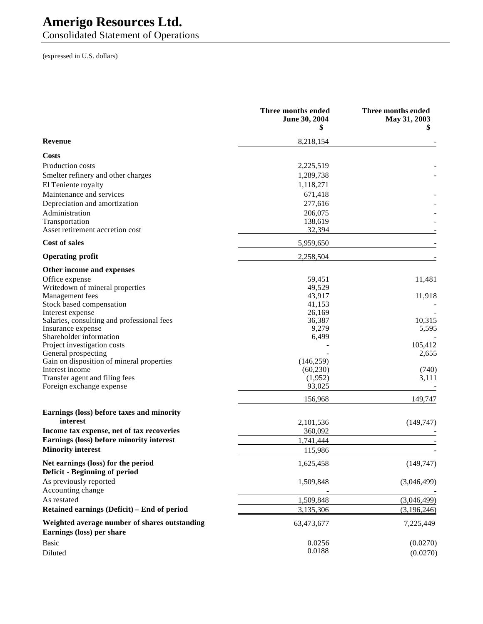Consolidated Statement of Operations

|                                                                            | Three months ended<br>June 30, 2004<br>5 | Three months ended<br>May 31, 2003 |
|----------------------------------------------------------------------------|------------------------------------------|------------------------------------|
| <b>Revenue</b>                                                             | 8,218,154                                |                                    |
| Costs                                                                      |                                          |                                    |
| Production costs                                                           | 2,225,519                                |                                    |
| Smelter refinery and other charges                                         | 1,289,738                                |                                    |
| El Teniente royalty                                                        | 1,118,271                                |                                    |
| Maintenance and services                                                   | 671,418                                  |                                    |
| Depreciation and amortization                                              | 277,616                                  |                                    |
| Administration                                                             | 206,075                                  |                                    |
| Transportation                                                             | 138,619                                  |                                    |
| Asset retirement accretion cost                                            | 32,394                                   |                                    |
| <b>Cost of sales</b>                                                       | 5,959,650                                |                                    |
| <b>Operating profit</b>                                                    | 2,258,504                                |                                    |
| Other income and expenses                                                  |                                          |                                    |
| Office expense                                                             | 59,451                                   | 11,481                             |
| Writedown of mineral properties                                            | 49,529                                   |                                    |
| Management fees                                                            | 43,917                                   | 11,918                             |
| Stock based compensation                                                   | 41,153                                   |                                    |
| Interest expense                                                           | 26,169                                   |                                    |
| Salaries, consulting and professional fees<br>Insurance expense            | 36,387<br>9,279                          | 10,315<br>5,595                    |
| Shareholder information                                                    | 6,499                                    |                                    |
| Project investigation costs                                                |                                          | 105,412                            |
| General prospecting                                                        |                                          | 2,655                              |
| Gain on disposition of mineral properties                                  | (146, 259)                               |                                    |
| Interest income                                                            | (60, 230)                                | (740)                              |
| Transfer agent and filing fees                                             | (1,952)                                  | 3,111                              |
| Foreign exchange expense                                                   | 93,025                                   |                                    |
|                                                                            | 156,968                                  | 149,747                            |
| Earnings (loss) before taxes and minority                                  |                                          |                                    |
| interest                                                                   | 2,101,536                                | (149, 747)                         |
| Income tax expense, net of tax recoveries                                  | 360,092                                  |                                    |
| Earnings (loss) before minority interest<br><b>Minority interest</b>       | 1,741,444<br>115,986                     |                                    |
|                                                                            |                                          |                                    |
| Net earnings (loss) for the period<br>Deficit - Beginning of period        | 1,625,458                                | (149, 747)                         |
| As previously reported<br>Accounting change                                | 1,509,848                                | (3,046,499)                        |
| As restated                                                                | 1,509,848                                | (3,046,499)                        |
| Retained earnings (Deficit) - End of period                                | 3,135,306                                | (3,196,246)                        |
| Weighted average number of shares outstanding<br>Earnings (loss) per share | 63,473,677                               | 7,225,449                          |
| <b>Basic</b>                                                               | 0.0256                                   | (0.0270)                           |
| Diluted                                                                    | 0.0188                                   | (0.0270)                           |
|                                                                            |                                          |                                    |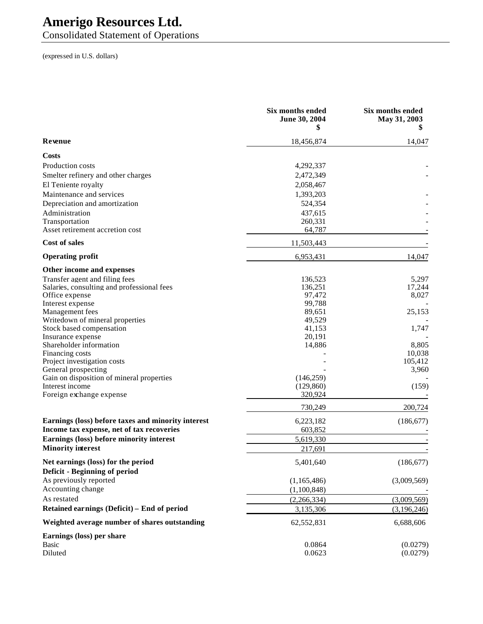Consolidated Statement of Operations

|                                                                     | Six months ended<br>June 30, 2004<br>\$ | Six months ended<br>May 31, 2003 |
|---------------------------------------------------------------------|-----------------------------------------|----------------------------------|
| Revenue                                                             | 18,456,874                              | 14,047                           |
| Costs                                                               |                                         |                                  |
| Production costs                                                    | 4,292,337                               |                                  |
| Smelter refinery and other charges                                  | 2,472,349                               |                                  |
| El Teniente royalty                                                 | 2,058,467                               |                                  |
| Maintenance and services                                            | 1,393,203                               |                                  |
| Depreciation and amortization                                       | 524,354                                 |                                  |
| Administration                                                      | 437,615                                 |                                  |
| Transportation                                                      | 260,331                                 |                                  |
| Asset retirement accretion cost                                     | 64,787                                  |                                  |
| <b>Cost of sales</b>                                                | 11,503,443                              |                                  |
| <b>Operating profit</b>                                             | 6,953,431                               | 14,047                           |
|                                                                     |                                         |                                  |
| Other income and expenses                                           |                                         |                                  |
| Transfer agent and filing fees                                      | 136,523                                 | 5,297                            |
| Salaries, consulting and professional fees<br>Office expense        | 136,251<br>97,472                       | 17,244<br>8,027                  |
| Interest expense                                                    | 99,788                                  |                                  |
| Management fees                                                     | 89,651                                  | 25,153                           |
| Writedown of mineral properties                                     | 49,529                                  |                                  |
| Stock based compensation                                            | 41,153                                  | 1,747                            |
| Insurance expense                                                   | 20,191                                  |                                  |
| Shareholder information                                             | 14,886                                  | 8,805                            |
| Financing costs                                                     |                                         | 10,038                           |
| Project investigation costs                                         |                                         | 105,412                          |
| General prospecting                                                 |                                         | 3,960                            |
| Gain on disposition of mineral properties                           | (146, 259)                              |                                  |
| Interest income                                                     | (129, 860)                              | (159)                            |
| Foreign exchange expense                                            | 320,924                                 |                                  |
|                                                                     | 730,249                                 | 200,724                          |
| Earnings (loss) before taxes and minority interest                  | 6,223,182                               | (186, 677)                       |
| Income tax expense, net of tax recoveries                           | 603,852                                 |                                  |
| Earnings (loss) before minority interest                            | 5,619,330                               |                                  |
| <b>Minority interest</b>                                            | 217,691                                 |                                  |
| Net earnings (loss) for the period<br>Deficit - Beginning of period | 5,401,640                               | (186, 677)                       |
| As previously reported                                              |                                         |                                  |
| Accounting change                                                   | (1,165,486)                             | (3,009,569)                      |
| As restated                                                         | (1,100,848)                             |                                  |
| Retained earnings (Deficit) - End of period                         | (2,266,334)<br>3,135,306                | (3,009,569)                      |
| Weighted average number of shares outstanding                       | 62,552,831                              | (3,196,246)<br>6,688,606         |
|                                                                     |                                         |                                  |
| Earnings (loss) per share<br><b>Basic</b>                           | 0.0864                                  | (0.0279)                         |
| Diluted                                                             | 0.0623                                  | (0.0279)                         |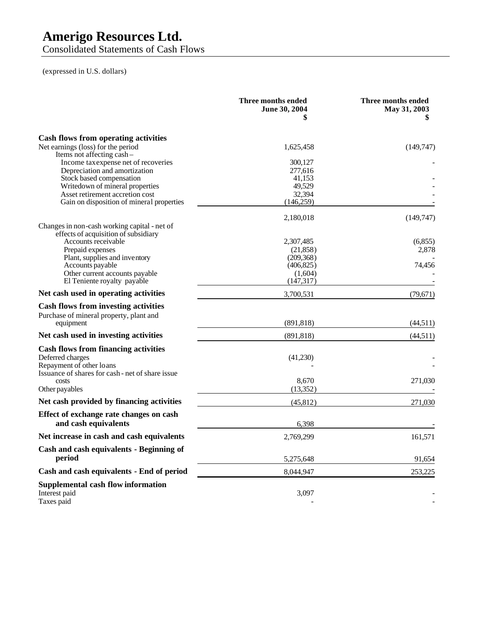Consolidated Statements of Cash Flows

|                                                                            | Three months ended<br><b>June 30, 2004</b><br>\$ | Three months ended<br>May 31, 2003 |
|----------------------------------------------------------------------------|--------------------------------------------------|------------------------------------|
| Cash flows from operating activities                                       |                                                  |                                    |
| Net earnings (loss) for the period                                         | 1,625,458                                        | (149, 747)                         |
| Items not affecting cash-                                                  |                                                  |                                    |
| Income tax expense net of recoveries                                       | 300,127                                          |                                    |
| Depreciation and amortization<br>Stock based compensation                  | 277,616<br>41,153                                |                                    |
| Writedown of mineral properties                                            | 49,529                                           |                                    |
| Asset retirement accretion cost                                            | 32,394                                           |                                    |
| Gain on disposition of mineral properties                                  | (146, 259)                                       |                                    |
|                                                                            | 2,180,018                                        | (149, 747)                         |
| Changes in non-cash working capital - net of                               |                                                  |                                    |
| effects of acquisition of subsidiary                                       |                                                  |                                    |
| Accounts receivable                                                        | 2,307,485                                        | (6, 855)                           |
| Prepaid expenses                                                           | (21, 858)                                        | 2,878                              |
| Plant, supplies and inventory                                              | (209, 368)                                       |                                    |
| Accounts payable                                                           | (406, 825)                                       | 74,456                             |
| Other current accounts payable                                             | (1,604)                                          |                                    |
| El Teniente royalty payable                                                | (147, 317)                                       |                                    |
| Net cash used in operating activities                                      | 3,700,531                                        | (79,671)                           |
| <b>Cash flows from investing activities</b>                                |                                                  |                                    |
| Purchase of mineral property, plant and                                    |                                                  |                                    |
| equipment                                                                  | (891, 818)                                       | (44, 511)                          |
| Net cash used in investing activities                                      | (891, 818)                                       | (44,511)                           |
| <b>Cash flows from financing activities</b>                                |                                                  |                                    |
|                                                                            |                                                  |                                    |
| Deferred charges                                                           | (41,230)                                         |                                    |
| Repayment of other loans<br>Issuance of shares for cash-net of share issue |                                                  |                                    |
| costs                                                                      | 8.670                                            | 271,030                            |
| Other payables                                                             | (13, 352)                                        |                                    |
| Net cash provided by financing activities                                  | (45, 812)                                        | 271,030                            |
|                                                                            |                                                  |                                    |
| Effect of exchange rate changes on cash<br>and cash equivalents            | 6,398                                            |                                    |
| Net increase in cash and cash equivalents                                  |                                                  |                                    |
|                                                                            | 2,769,299                                        | 161,571                            |
| Cash and cash equivalents - Beginning of                                   |                                                  |                                    |
| period                                                                     | 5,275,648                                        | 91,654                             |
| Cash and cash equivalents - End of period                                  | 8,044,947                                        | 253,225                            |
| <b>Supplemental cash flow information</b><br>Interest paid<br>Taxes paid   | 3,097                                            |                                    |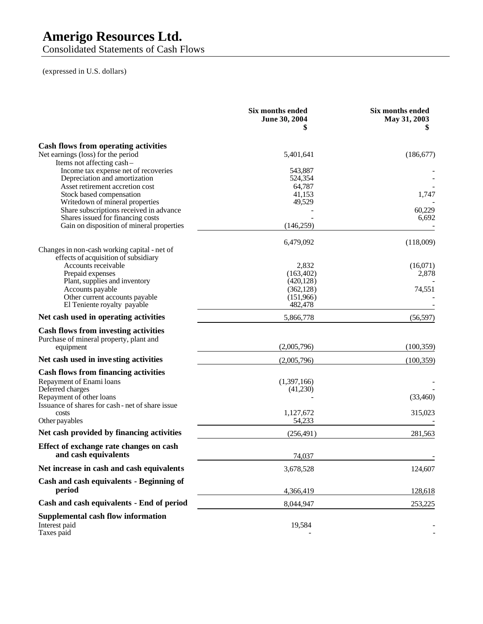Consolidated Statements of Cash Flows

|                                                                                   | Six months ended<br>June 30, 2004<br>\$ | Six months ended<br>May 31, 2003 |
|-----------------------------------------------------------------------------------|-----------------------------------------|----------------------------------|
| <b>Cash flows from operating activities</b><br>Net earnings (loss) for the period | 5,401,641                               | (186, 677)                       |
| Items not affecting cash-<br>Income tax expense net of recoveries                 | 543,887                                 |                                  |
| Depreciation and amortization<br>Asset retirement accretion cost                  | 524,354<br>64,787                       |                                  |
| Stock based compensation                                                          | 41,153                                  | 1,747                            |
| Writedown of mineral properties                                                   | 49,529                                  |                                  |
| Share subscriptions received in advance                                           |                                         | 60,229                           |
| Shares issued for financing costs                                                 |                                         | 6,692                            |
| Gain on disposition of mineral properties                                         | (146, 259)                              |                                  |
| Changes in non-cash working capital - net of                                      | 6,479,092                               | (118,009)                        |
| effects of acquisition of subsidiary                                              |                                         |                                  |
| Accounts receivable                                                               | 2,832                                   | (16,071)                         |
| Prepaid expenses<br>Plant, supplies and inventory                                 | (163, 402)<br>(420, 128)                | 2,878                            |
| Accounts payable                                                                  | (362, 128)                              | 74,551                           |
| Other current accounts payable                                                    | (151,966)                               |                                  |
| El Teniente royalty payable                                                       | 482,478                                 |                                  |
| Net cash used in operating activities                                             | 5,866,778                               | (56, 597)                        |
| <b>Cash flows from investing activities</b>                                       |                                         |                                  |
| Purchase of mineral property, plant and                                           |                                         |                                  |
| equipment                                                                         | (2,005,796)                             | (100, 359)                       |
| Net cash used in investing activities                                             | (2,005,796)                             | (100, 359)                       |
| <b>Cash flows from financing activities</b>                                       |                                         |                                  |
| Repayment of Enami loans                                                          | (1,397,166)                             |                                  |
| Deferred charges                                                                  | (41,230)                                |                                  |
| Repayment of other loans                                                          |                                         | (33,460)                         |
| Issuance of shares for cash - net of share issue                                  |                                         |                                  |
| costs<br>Other payables                                                           | 1,127,672<br>54,233                     | 315,023                          |
| Net cash provided by financing activities                                         | (256, 491)                              | 281,563                          |
|                                                                                   |                                         |                                  |
| Effect of exchange rate changes on cash<br>and cash equivalents                   | 74,037                                  |                                  |
| Net increase in cash and cash equivalents                                         | 3,678,528                               | 124,607                          |
| Cash and cash equivalents - Beginning of                                          |                                         |                                  |
| period                                                                            | 4,366,419                               | 128,618                          |
| Cash and cash equivalents - End of period                                         | 8,044,947                               | 253,225                          |
| <b>Supplemental cash flow information</b><br>Interest paid<br>Taxes paid          | 19,584                                  |                                  |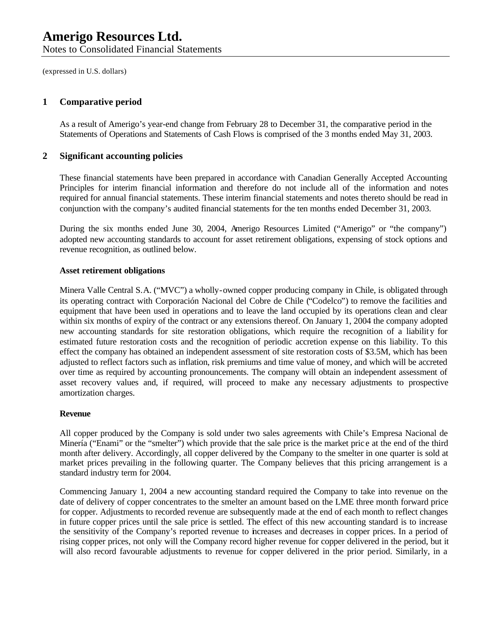(expressed in U.S. dollars)

#### **1 Comparative period**

As a result of Amerigo's year-end change from February 28 to December 31, the comparative period in the Statements of Operations and Statements of Cash Flows is comprised of the 3 months ended May 31, 2003.

#### **2 Significant accounting policies**

These financial statements have been prepared in accordance with Canadian Generally Accepted Accounting Principles for interim financial information and therefore do not include all of the information and notes required for annual financial statements. These interim financial statements and notes thereto should be read in conjunction with the company's audited financial statements for the ten months ended December 31, 2003.

During the six months ended June 30, 2004, Amerigo Resources Limited ("Amerigo" or "the company") adopted new accounting standards to account for asset retirement obligations, expensing of stock options and revenue recognition, as outlined below.

#### **Asset retirement obligations**

Minera Valle Central S.A. ("MVC") a wholly-owned copper producing company in Chile, is obligated through its operating contract with Corporación Nacional del Cobre de Chile ("Codelco") to remove the facilities and equipment that have been used in operations and to leave the land occupied by its operations clean and clear within six months of expiry of the contract or any extensions thereof. On January 1, 2004 the company adopted new accounting standards for site restoration obligations, which require the recognition of a liability for estimated future restoration costs and the recognition of periodic accretion expense on this liability. To this effect the company has obtained an independent assessment of site restoration costs of \$3.5M, which has been adjusted to reflect factors such as inflation, risk premiums and time value of money, and which will be accreted over time as required by accounting pronouncements. The company will obtain an independent assessment of asset recovery values and, if required, will proceed to make any necessary adjustments to prospective amortization charges.

#### **Revenue**

All copper produced by the Company is sold under two sales agreements with Chile's Empresa Nacional de Minería ("Enami" or the "smelter") which provide that the sale price is the market pric e at the end of the third month after delivery. Accordingly, all copper delivered by the Company to the smelter in one quarter is sold at market prices prevailing in the following quarter. The Company believes that this pricing arrangement is a standard industry term for 2004.

Commencing January 1, 2004 a new accounting standard required the Company to take into revenue on the date of delivery of copper concentrates to the smelter an amount based on the LME three month forward price for copper. Adjustments to recorded revenue are subsequently made at the end of each month to reflect changes in future copper prices until the sale price is settled. The effect of this new accounting standard is to increase the sensitivity of the Company's reported revenue to increases and decreases in copper prices. In a period of rising copper prices, not only will the Company record higher revenue for copper delivered in the period, but it will also record favourable adjustments to revenue for copper delivered in the prior period. Similarly, in a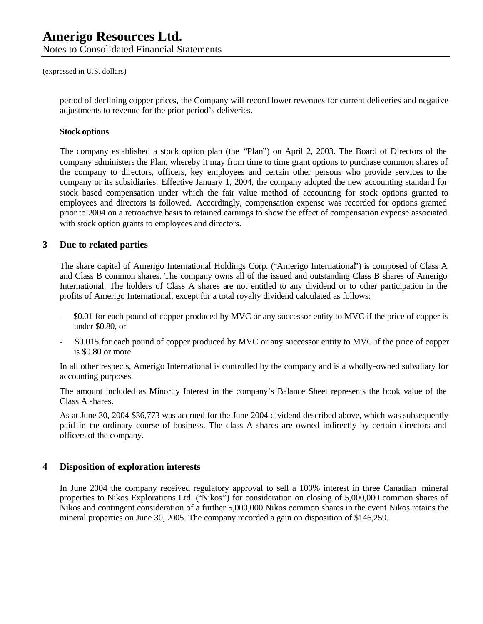(expressed in U.S. dollars)

period of declining copper prices, the Company will record lower revenues for current deliveries and negative adjustments to revenue for the prior period's deliveries.

#### **Stock options**

The company established a stock option plan (the "Plan") on April 2, 2003. The Board of Directors of the company administers the Plan, whereby it may from time to time grant options to purchase common shares of the company to directors, officers, key employees and certain other persons who provide services to the company or its subsidiaries. Effective January 1, 2004, the company adopted the new accounting standard for stock based compensation under which the fair value method of accounting for stock options granted to employees and directors is followed. Accordingly, compensation expense was recorded for options granted prior to 2004 on a retroactive basis to retained earnings to show the effect of compensation expense associated with stock option grants to employees and directors.

#### **3 Due to related parties**

The share capital of Amerigo International Holdings Corp. ("Amerigo International") is composed of Class A and Class B common shares. The company owns all of the issued and outstanding Class B shares of Amerigo International. The holders of Class A shares are not entitled to any dividend or to other participation in the profits of Amerigo International, except for a total royalty dividend calculated as follows:

- \$0.01 for each pound of copper produced by MVC or any successor entity to MVC if the price of copper is under \$0.80, or
- \$0.015 for each pound of copper produced by MVC or any successor entity to MVC if the price of copper is \$0.80 or more.

In all other respects, Amerigo International is controlled by the company and is a wholly-owned subsdiary for accounting purposes.

The amount included as Minority Interest in the company's Balance Sheet represents the book value of the Class A shares.

As at June 30, 2004 \$36,773 was accrued for the June 2004 dividend described above, which was subsequently paid in the ordinary course of business. The class A shares are owned indirectly by certain directors and officers of the company.

#### **4 Disposition of exploration interests**

In June 2004 the company received regulatory approval to sell a 100% interest in three Canadian mineral properties to Nikos Explorations Ltd. ("Nikos") for consideration on closing of 5,000,000 common shares of Nikos and contingent consideration of a further 5,000,000 Nikos common shares in the event Nikos retains the mineral properties on June 30, 2005. The company recorded a gain on disposition of \$146,259.